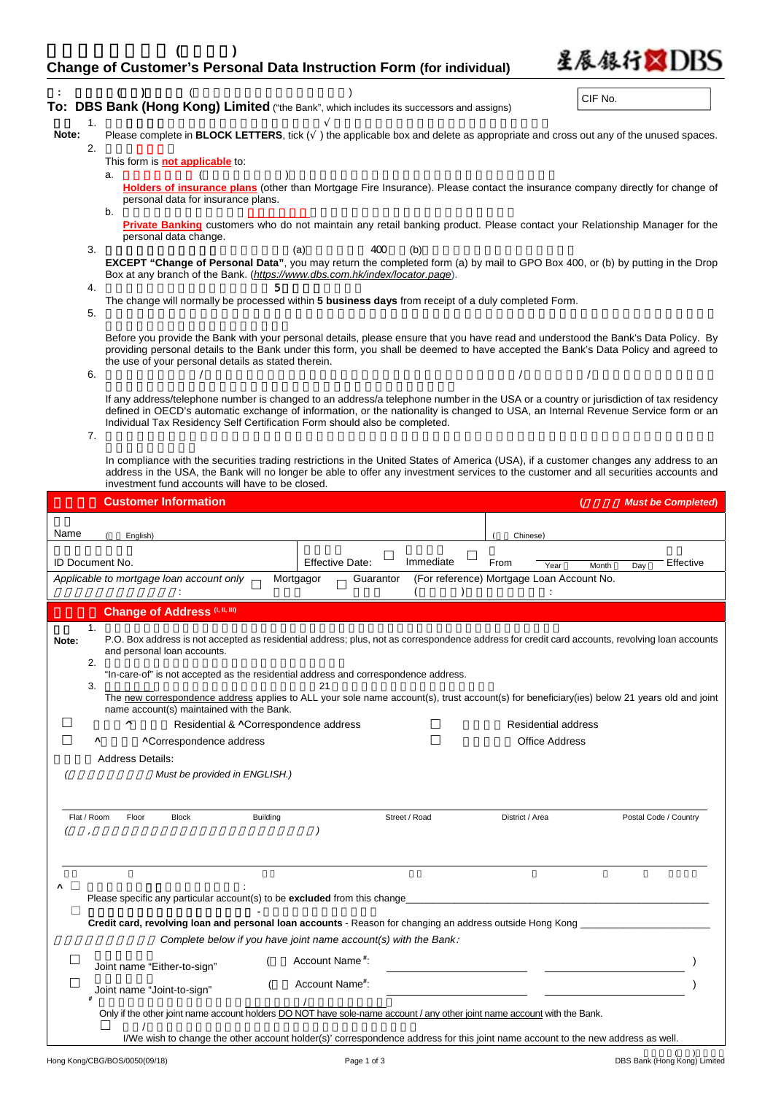| <b>Change of Customer's Personal Data Instruction Form (for individual)</b> |  |  |  |
|-----------------------------------------------------------------------------|--|--|--|

星辰銀行XIDBS

|                        |          |    |                             |                                                     |                 |                                                                            | To: DBS Bank (Hong Kong) Limited ("the Bank", which includes its successors and assigns)                                        |                                                   | CIF No.                    |                                                                                                                                                                                                                                                                               |  |
|------------------------|----------|----|-----------------------------|-----------------------------------------------------|-----------------|----------------------------------------------------------------------------|---------------------------------------------------------------------------------------------------------------------------------|---------------------------------------------------|----------------------------|-------------------------------------------------------------------------------------------------------------------------------------------------------------------------------------------------------------------------------------------------------------------------------|--|
| Note:                  | 1.       |    |                             |                                                     |                 |                                                                            |                                                                                                                                 |                                                   |                            | Please complete in <b>BLOCK LETTERS</b> , tick $($ ) the applicable box and delete as appropriate and cross out any of the unused spaces.                                                                                                                                     |  |
|                        | 2.       |    |                             | This form is <b>not applicable</b> to:              |                 |                                                                            |                                                                                                                                 |                                                   |                            |                                                                                                                                                                                                                                                                               |  |
|                        |          | a. |                             | personal data for insurance plans.                  |                 |                                                                            |                                                                                                                                 |                                                   |                            | Holders of insurance plans (other than Mortgage Fire Insurance). Please contact the insurance company directly for change of                                                                                                                                                  |  |
|                        |          | b. | personal data change.       |                                                     |                 |                                                                            |                                                                                                                                 |                                                   |                            | Private Banking customers who do not maintain any retail banking product. Please contact your Relationship Manager for the                                                                                                                                                    |  |
|                        | 3.       |    |                             |                                                     |                 | (a)                                                                        | 400<br>(b)<br>Box at any branch of the Bank. (https://www.dbs.com.hk/index/locator.page).                                       |                                                   |                            | EXCEPT "Change of Personal Data", you may return the completed form (a) by mail to GPO Box 400, or (b) by putting in the Drop                                                                                                                                                 |  |
|                        | 4.<br>5. |    |                             |                                                     |                 |                                                                            | The change will normally be processed within 5 business days from receipt of a duly completed Form.                             |                                                   |                            |                                                                                                                                                                                                                                                                               |  |
|                        | 6.       |    |                             | the use of your personal details as stated therein. |                 |                                                                            |                                                                                                                                 |                                                   |                            | Before you provide the Bank with your personal details, please ensure that you have read and understood the Bank's Data Policy. By<br>providing personal details to the Bank under this form, you shall be deemed to have accepted the Bank's Data Policy and agreed to       |  |
|                        | 7.       |    |                             |                                                     |                 | Individual Tax Residency Self Certification Form should also be completed. |                                                                                                                                 |                                                   |                            | If any address/telephone number is changed to an address/a telephone number in the USA or a country or jurisdiction of tax residency<br>defined in OECD's automatic exchange of information, or the nationality is changed to USA, an Internal Revenue Service form or an     |  |
|                        |          |    |                             | investment fund accounts will have to be closed.    |                 |                                                                            |                                                                                                                                 |                                                   |                            | In compliance with the securities trading restrictions in the United States of America (USA), if a customer changes any address to an<br>address in the USA, the Bank will no longer be able to offer any investment services to the customer and all securities accounts and |  |
|                        |          |    | <b>Customer Information</b> |                                                     |                 |                                                                            |                                                                                                                                 |                                                   |                            | <b>Must be Completed)</b>                                                                                                                                                                                                                                                     |  |
| Name                   |          |    |                             |                                                     |                 |                                                                            |                                                                                                                                 |                                                   |                            |                                                                                                                                                                                                                                                                               |  |
|                        |          |    | English)                    |                                                     |                 |                                                                            |                                                                                                                                 | Chinese)                                          |                            |                                                                                                                                                                                                                                                                               |  |
| <b>ID Document No.</b> |          |    |                             | Applicable to mortgage loan account only            |                 | <b>Effective Date:</b><br>Mortgagor                                        | Immediate<br>Guarantor                                                                                                          | From<br>(For reference) Mortgage Loan Account No. | Year<br>Month              | Effective<br>Day                                                                                                                                                                                                                                                              |  |
|                        |          |    |                             |                                                     |                 |                                                                            |                                                                                                                                 |                                                   |                            |                                                                                                                                                                                                                                                                               |  |
|                        |          |    |                             | <b>Change of Address (I, II, III)</b>               |                 |                                                                            |                                                                                                                                 |                                                   |                            |                                                                                                                                                                                                                                                                               |  |
| Note:                  | 1.       |    | and personal loan accounts. |                                                     |                 |                                                                            |                                                                                                                                 |                                                   |                            | P.O. Box address is not accepted as residential address; plus, not as correspondence address for credit card accounts, revolving loan accounts                                                                                                                                |  |
|                        |          |    |                             |                                                     |                 | 21                                                                         | "In-care-of" is not accepted as the residential address and correspondence address.                                             |                                                   |                            |                                                                                                                                                                                                                                                                               |  |
|                        | 3.       |    |                             | name account(s) maintained with the Bank.           |                 |                                                                            |                                                                                                                                 |                                                   |                            | The new correspondence address applies to ALL your sole name account(s), trust account(s) for beneficiary(ies) below 21 years old and joint                                                                                                                                   |  |
|                        |          |    | v                           |                                                     |                 | Residential & ^Correspondence address                                      |                                                                                                                                 |                                                   | <b>Residential address</b> |                                                                                                                                                                                                                                                                               |  |
|                        |          |    |                             | <b>^Correspondence address</b>                      |                 |                                                                            |                                                                                                                                 |                                                   | <b>Office Address</b>      |                                                                                                                                                                                                                                                                               |  |
|                        |          |    | <b>Address Details:</b>     | Must be provided in ENGLISH.)                       |                 |                                                                            |                                                                                                                                 |                                                   |                            |                                                                                                                                                                                                                                                                               |  |
| Flat / Room            |          |    | Floor                       | <b>Block</b>                                        | <b>Building</b> |                                                                            | Street / Road                                                                                                                   | District / Area                                   |                            | Postal Code / Country                                                                                                                                                                                                                                                         |  |
| ۸                      |          |    |                             |                                                     |                 | Please specific any particular account(s) to be excluded from this change  |                                                                                                                                 |                                                   |                            |                                                                                                                                                                                                                                                                               |  |
| П                      |          |    |                             |                                                     |                 |                                                                            | Credit card, revolving loan and personal loan accounts - Reason for changing an address outside Hong Kong                       |                                                   |                            |                                                                                                                                                                                                                                                                               |  |
|                        |          |    |                             |                                                     |                 |                                                                            | Complete below if you have joint name account(s) with the Bank:                                                                 |                                                   |                            |                                                                                                                                                                                                                                                                               |  |
|                        |          |    | Joint name "Either-to-sign" |                                                     |                 | Account Name <sup>#</sup> :                                                |                                                                                                                                 |                                                   |                            |                                                                                                                                                                                                                                                                               |  |
|                        |          |    | Joint name "Joint-to-sign"  |                                                     |                 | Account Name#:                                                             |                                                                                                                                 |                                                   |                            |                                                                                                                                                                                                                                                                               |  |
|                        |          |    |                             |                                                     |                 |                                                                            | Only if the other joint name account holders DO NOT have sole-name account / any other joint name account with the Bank.        |                                                   |                            |                                                                                                                                                                                                                                                                               |  |
|                        |          |    |                             |                                                     |                 |                                                                            | I/We wish to change the other account holder(s)' correspondence address for this joint name account to the new address as well. |                                                   |                            |                                                                                                                                                                                                                                                                               |  |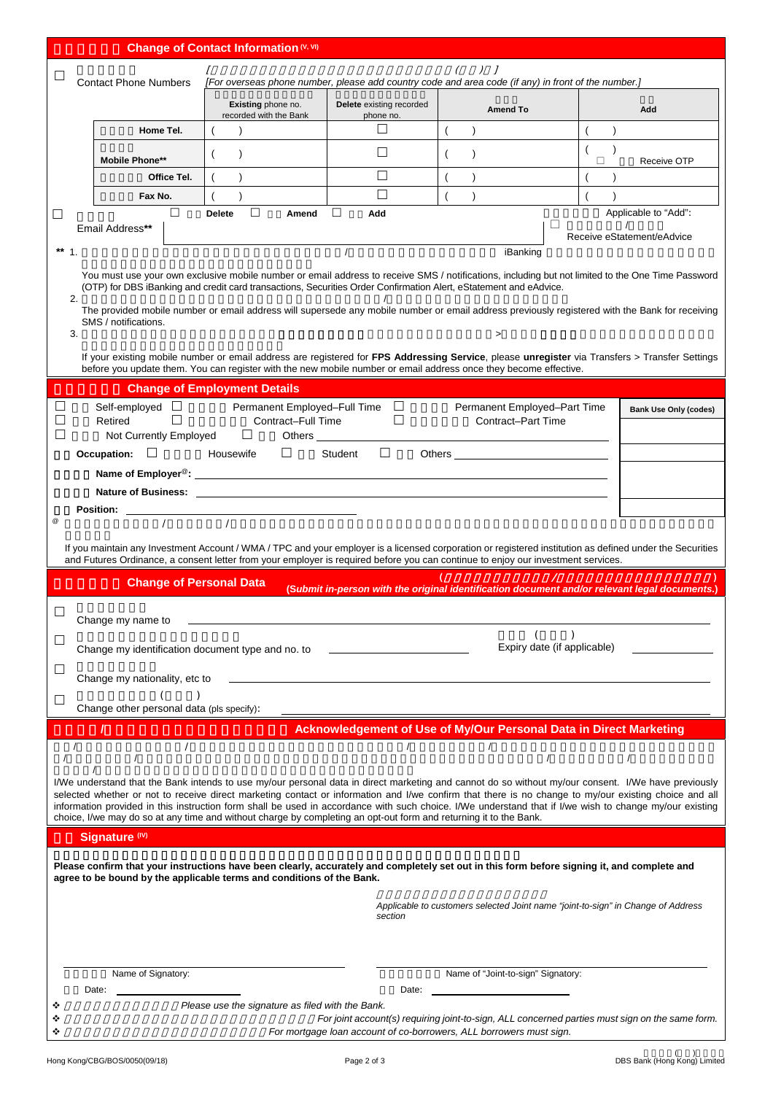|                              |                                                                                                                                                               | Change of Contact Information (V, VI)                                                                             |                                          |                                                                                                                                                                                                                                |                                                                                                                                                                                                                                                                                                              |  |  |  |  |
|------------------------------|---------------------------------------------------------------------------------------------------------------------------------------------------------------|-------------------------------------------------------------------------------------------------------------------|------------------------------------------|--------------------------------------------------------------------------------------------------------------------------------------------------------------------------------------------------------------------------------|--------------------------------------------------------------------------------------------------------------------------------------------------------------------------------------------------------------------------------------------------------------------------------------------------------------|--|--|--|--|
|                              | $J$ $I$                                                                                                                                                       |                                                                                                                   |                                          |                                                                                                                                                                                                                                |                                                                                                                                                                                                                                                                                                              |  |  |  |  |
| <b>Contact Phone Numbers</b> |                                                                                                                                                               | [For overseas phone number, please add country code and area code (if any) in front of the number.]               |                                          |                                                                                                                                                                                                                                |                                                                                                                                                                                                                                                                                                              |  |  |  |  |
|                              |                                                                                                                                                               | Existing phone no.<br>recorded with the Bank                                                                      | Delete existing recorded<br>phone no.    | <b>Amend To</b>                                                                                                                                                                                                                | Add                                                                                                                                                                                                                                                                                                          |  |  |  |  |
|                              | Home Tel.                                                                                                                                                     |                                                                                                                   | $\Box$                                   |                                                                                                                                                                                                                                |                                                                                                                                                                                                                                                                                                              |  |  |  |  |
|                              | <b>Mobile Phone**</b>                                                                                                                                         |                                                                                                                   | П                                        | $\lambda$                                                                                                                                                                                                                      | $\lambda$<br>Receive OTP<br>□                                                                                                                                                                                                                                                                                |  |  |  |  |
|                              | Office Tel.                                                                                                                                                   |                                                                                                                   | П                                        |                                                                                                                                                                                                                                |                                                                                                                                                                                                                                                                                                              |  |  |  |  |
|                              | Fax No.                                                                                                                                                       |                                                                                                                   | П                                        | $\overline{ }$<br>$\lambda$                                                                                                                                                                                                    |                                                                                                                                                                                                                                                                                                              |  |  |  |  |
| □                            | □<br>Email Address**                                                                                                                                          | ш<br><b>Delete</b><br>Amend                                                                                       | $\Box$<br>Add                            |                                                                                                                                                                                                                                | Applicable to "Add":                                                                                                                                                                                                                                                                                         |  |  |  |  |
| ** $1$ .                     |                                                                                                                                                               |                                                                                                                   |                                          |                                                                                                                                                                                                                                | Receive eStatement/eAdvice                                                                                                                                                                                                                                                                                   |  |  |  |  |
|                              | iBanking<br>You must use your own exclusive mobile number or email address to receive SMS / notifications, including but not limited to the One Time Password |                                                                                                                   |                                          |                                                                                                                                                                                                                                |                                                                                                                                                                                                                                                                                                              |  |  |  |  |
|                              |                                                                                                                                                               |                                                                                                                   |                                          | (OTP) for DBS iBanking and credit card transactions, Securities Order Confirmation Alert, eStatement and eAdvice.                                                                                                              |                                                                                                                                                                                                                                                                                                              |  |  |  |  |
| 2.                           |                                                                                                                                                               |                                                                                                                   |                                          |                                                                                                                                                                                                                                | The provided mobile number or email address will supersede any mobile number or email address previously registered with the Bank for receiving                                                                                                                                                              |  |  |  |  |
| 3.                           | SMS / notifications.                                                                                                                                          |                                                                                                                   |                                          | $\geq$                                                                                                                                                                                                                         |                                                                                                                                                                                                                                                                                                              |  |  |  |  |
|                              |                                                                                                                                                               |                                                                                                                   |                                          |                                                                                                                                                                                                                                | If your existing mobile number or email address are registered for FPS Addressing Service, please unregister via Transfers > Transfer Settings                                                                                                                                                               |  |  |  |  |
|                              |                                                                                                                                                               |                                                                                                                   |                                          | before you update them. You can register with the new mobile number or email address once they become effective.                                                                                                               |                                                                                                                                                                                                                                                                                                              |  |  |  |  |
|                              |                                                                                                                                                               | <b>Change of Employment Details</b>                                                                               |                                          |                                                                                                                                                                                                                                |                                                                                                                                                                                                                                                                                                              |  |  |  |  |
| Ш<br>□                       | Self-employed $\Box$<br>$\Box$<br>Retired                                                                                                                     | Contract-Full Time                                                                                                | Permanent Employed-Full Time □<br>$\Box$ | Permanent Employed-Part Time<br><b>Contract-Part Time</b>                                                                                                                                                                      | <b>Bank Use Only (codes)</b>                                                                                                                                                                                                                                                                                 |  |  |  |  |
| $\Box$                       | Not Currently Employed                                                                                                                                        | $\Box$                                                                                                            |                                          |                                                                                                                                                                                                                                |                                                                                                                                                                                                                                                                                                              |  |  |  |  |
|                              | Occupation: <b>Discuss</b> Housewife                                                                                                                          | $\Box$                                                                                                            | Student $\Box$                           | Others and the contract of the contract of the contract of the contract of the contract of the contract of the contract of the contract of the contract of the contract of the contract of the contract of the contract of the |                                                                                                                                                                                                                                                                                                              |  |  |  |  |
|                              |                                                                                                                                                               |                                                                                                                   |                                          |                                                                                                                                                                                                                                |                                                                                                                                                                                                                                                                                                              |  |  |  |  |
|                              |                                                                                                                                                               |                                                                                                                   |                                          |                                                                                                                                                                                                                                |                                                                                                                                                                                                                                                                                                              |  |  |  |  |
| $^\copyright$                |                                                                                                                                                               |                                                                                                                   |                                          |                                                                                                                                                                                                                                |                                                                                                                                                                                                                                                                                                              |  |  |  |  |
|                              |                                                                                                                                                               |                                                                                                                   |                                          |                                                                                                                                                                                                                                | If you maintain any Investment Account / WMA / TPC and your employer is a licensed corporation or registered institution as defined under the Securities                                                                                                                                                     |  |  |  |  |
|                              |                                                                                                                                                               |                                                                                                                   |                                          | and Futures Ordinance, a consent letter from your employer is required before you can continue to enjoy our investment services.                                                                                               |                                                                                                                                                                                                                                                                                                              |  |  |  |  |
|                              | <b>Change of Personal Data</b>                                                                                                                                |                                                                                                                   |                                          |                                                                                                                                                                                                                                | (Submit in-person with the original identification document and/or relevant legal documents.)                                                                                                                                                                                                                |  |  |  |  |
|                              | Change my name to                                                                                                                                             |                                                                                                                   |                                          |                                                                                                                                                                                                                                |                                                                                                                                                                                                                                                                                                              |  |  |  |  |
|                              |                                                                                                                                                               |                                                                                                                   |                                          |                                                                                                                                                                                                                                |                                                                                                                                                                                                                                                                                                              |  |  |  |  |
|                              | Change my identification document type and no. to                                                                                                             |                                                                                                                   |                                          | Expiry date (if applicable)                                                                                                                                                                                                    |                                                                                                                                                                                                                                                                                                              |  |  |  |  |
|                              | Change my nationality, etc to                                                                                                                                 |                                                                                                                   |                                          |                                                                                                                                                                                                                                |                                                                                                                                                                                                                                                                                                              |  |  |  |  |
|                              |                                                                                                                                                               |                                                                                                                   |                                          |                                                                                                                                                                                                                                |                                                                                                                                                                                                                                                                                                              |  |  |  |  |
|                              | Change other personal data (pls specify):                                                                                                                     |                                                                                                                   |                                          | Acknowledgement of Use of My/Our Personal Data in Direct Marketing                                                                                                                                                             |                                                                                                                                                                                                                                                                                                              |  |  |  |  |
|                              | $\prime$                                                                                                                                                      |                                                                                                                   |                                          |                                                                                                                                                                                                                                |                                                                                                                                                                                                                                                                                                              |  |  |  |  |
|                              |                                                                                                                                                               |                                                                                                                   |                                          | $\prime$                                                                                                                                                                                                                       |                                                                                                                                                                                                                                                                                                              |  |  |  |  |
|                              |                                                                                                                                                               |                                                                                                                   |                                          |                                                                                                                                                                                                                                | I/We understand that the Bank intends to use my/our personal data in direct marketing and cannot do so without my/our consent. I/We have previously<br>selected whether or not to receive direct marketing contact or information and I/we confirm that there is no change to my/our existing choice and all |  |  |  |  |
|                              |                                                                                                                                                               |                                                                                                                   |                                          |                                                                                                                                                                                                                                | information provided in this instruction form shall be used in accordance with such choice. I/We understand that if I/we wish to change my/our existing                                                                                                                                                      |  |  |  |  |
|                              | Signature (IV)                                                                                                                                                | choice, I/we may do so at any time and without charge by completing an opt-out form and returning it to the Bank. |                                          |                                                                                                                                                                                                                                |                                                                                                                                                                                                                                                                                                              |  |  |  |  |
|                              |                                                                                                                                                               |                                                                                                                   |                                          |                                                                                                                                                                                                                                |                                                                                                                                                                                                                                                                                                              |  |  |  |  |
|                              |                                                                                                                                                               | agree to be bound by the applicable terms and conditions of the Bank.                                             |                                          | Please confirm that your instructions have been clearly, accurately and completely set out in this form before signing it, and complete and                                                                                    |                                                                                                                                                                                                                                                                                                              |  |  |  |  |
|                              |                                                                                                                                                               |                                                                                                                   |                                          |                                                                                                                                                                                                                                |                                                                                                                                                                                                                                                                                                              |  |  |  |  |
|                              |                                                                                                                                                               |                                                                                                                   | section                                  | Applicable to customers selected Joint name "joint-to-sign" in Change of Address                                                                                                                                               |                                                                                                                                                                                                                                                                                                              |  |  |  |  |
|                              |                                                                                                                                                               |                                                                                                                   |                                          |                                                                                                                                                                                                                                |                                                                                                                                                                                                                                                                                                              |  |  |  |  |
|                              |                                                                                                                                                               |                                                                                                                   |                                          |                                                                                                                                                                                                                                |                                                                                                                                                                                                                                                                                                              |  |  |  |  |
|                              | Name of Signatory:                                                                                                                                            |                                                                                                                   |                                          | Name of "Joint-to-sign" Signatory:                                                                                                                                                                                             |                                                                                                                                                                                                                                                                                                              |  |  |  |  |
|                              | Date:                                                                                                                                                         | Please use the signature as filed with the Bank.                                                                  | Date:                                    |                                                                                                                                                                                                                                |                                                                                                                                                                                                                                                                                                              |  |  |  |  |
|                              |                                                                                                                                                               |                                                                                                                   |                                          |                                                                                                                                                                                                                                | For joint account(s) requiring joint-to-sign, ALL concerned parties must sign on the same form.                                                                                                                                                                                                              |  |  |  |  |
|                              |                                                                                                                                                               |                                                                                                                   |                                          | For mortgage loan account of co-borrowers, ALL borrowers must sign.                                                                                                                                                            |                                                                                                                                                                                                                                                                                                              |  |  |  |  |